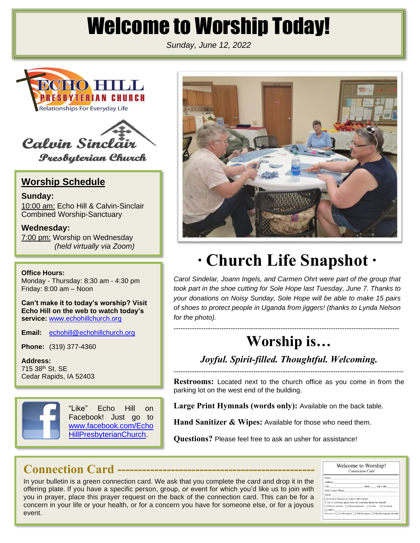# Welcome to Worship Today!

*Sunday, June 12, 2022*





**Presbyterian Church** 

#### **Worship Schedule**

**Sunday:** 10:00 am: Echo Hill & Calvin-Sinclair Combined Worship-Sanctuary

**Wednesday:** 7:00 pm: Worship on Wednesday *(held virtually via Zoom)*

**Office Hours:**

Monday - Thursday: 8:30 am - 4:30 pm Friday: 8:00 am – Noon

**Can't make it to today's worship? Visit Echo Hill on the web to watch today's service:** [www.echohillchurch.org](http://www.echohillchurch.org/)

**Email:** [echohill@echohillchurch.org](mailto:echohill@echohillchurch.org)

**Phone:** (319) 377-4360

**Address:** 715 38th St. SE Cedar Rapids, IA 52403



"Like" Echo Hill on Facebook! Just go to [www.facebook.com/Echo](http://www.facebook.com/EchoHillPresbyterianChurch) [HillPresbyterianChurch.](http://www.facebook.com/EchoHillPresbyterianChurch)



# **∙ Church Life Snapshot ∙**

*Carol Sindelar, Joann Ingels, and Carmen Ohrt were part of the group that took part in the shoe cutting for Sole Hope last Tuesday, June 7. Thanks to your donations on Noisy Sunday, Sole Hope will be able to make 15 pairs of shoes to protect people in Uganda from jiggers! (thanks to Lynda Nelson for the photo).*

# **Worship is…**

*Joyful. Spirit-filled. Thoughtful. Welcoming.* -----------------------------------------------------------------------------------------------------

---------------------------------------------------------------------------------------------------

**Restrooms:** Located next to the church office as you come in from the parking lot on the west end of the building.

**Large Print Hymnals (words only):** Available on the back table.

**Hand Sanitizer & Wipes:** Available for those who need them.

**Questions?** Please feel free to ask an usher for assistance!

## **Connection Card ------------------------------------------------**

In your bulletin is a green connection card. We ask that you complete the card and drop it in the offering plate. If you have a specific person, group, or event for which you'd like us to join with you in prayer, place this prayer request on the back of the connection card. This can be for a concern in your life or your health, or for a concern you have for someone else, or for a joyous event.

| Welcome to Worship!<br><b>Connection Card</b>                                                     |  |                  |  |
|---------------------------------------------------------------------------------------------------|--|------------------|--|
| Name:                                                                                             |  |                  |  |
| Address:                                                                                          |  |                  |  |
| City:                                                                                             |  | State: Zip Code: |  |
| <b>Best Contact Phone:</b>                                                                        |  |                  |  |
| Email:                                                                                            |  |                  |  |
| $\Box$ Check if changes in contact information                                                    |  |                  |  |
| If 1st- or 2nd-time guest, how did you hear about the church?                                     |  |                  |  |
| ○ Church website ○ Church member ○ Event ○ Facebook                                               |  |                  |  |
| $\bigcap$ Other:                                                                                  |  |                  |  |
| Are you a: $\bigcirc$ 1st-time guest $\bigcirc$ 2nd-time guest $\bigcirc$ Member/regular attender |  |                  |  |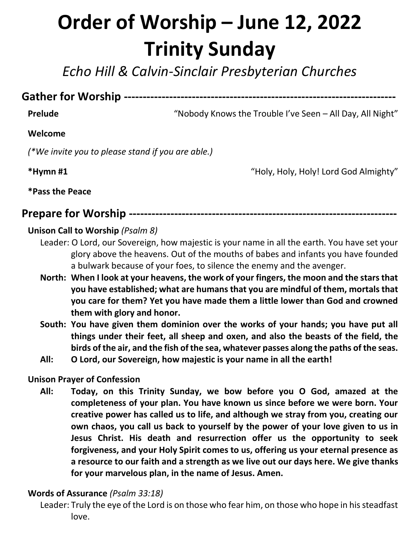# **Order of Worship – June 12, 2022 Trinity Sunday**

*Echo Hill & Calvin-Sinclair Presbyterian Churches*

**Gather for Worship ------------------------------------------------------------------------**

**Prelude** "Nobody Knows the Trouble I've Seen – All Day, All Night"

#### **Welcome**

*(\*We invite you to please stand if you are able.)*

**\*Hymn #1** "Holy, Holy, Holy! Lord God Almighty"

**\*Pass the Peace**

#### **Prepare for Worship -----------------------------------------------------------------------**

#### **Unison Call to Worship** *(Psalm 8)*

- Leader: O Lord, our Sovereign, how majestic is your name in all the earth. You have set your glory above the heavens. Out of the mouths of babes and infants you have founded a bulwark because of your foes, to silence the enemy and the avenger.
- **North: When I look at your heavens, the work of your fingers, the moon and the stars that you have established; what are humans that you are mindful of them, mortals that you care for them? Yet you have made them a little lower than God and crowned them with glory and honor.**
- **South: You have given them dominion over the works of your hands; you have put all things under their feet, all sheep and oxen, and also the beasts of the field, the birds of the air, and the fish of the sea, whatever passes along the paths of the seas.**
- **All: O Lord, our Sovereign, how majestic is your name in all the earth!**

#### **Unison Prayer of Confession**

**All: Today, on this Trinity Sunday, we bow before you O God, amazed at the completeness of your plan. You have known us since before we were born. Your creative power has called us to life, and although we stray from you, creating our own chaos, you call us back to yourself by the power of your love given to us in Jesus Christ. His death and resurrection offer us the opportunity to seek forgiveness, and your Holy Spirit comes to us, offering us your eternal presence as a resource to our faith and a strength as we live out our days here. We give thanks for your marvelous plan, in the name of Jesus. Amen.**

#### **Words of Assurance** *(Psalm 33:18)*

Leader: Truly the eye of the Lord is on those who fear him, on those who hope in his steadfast love.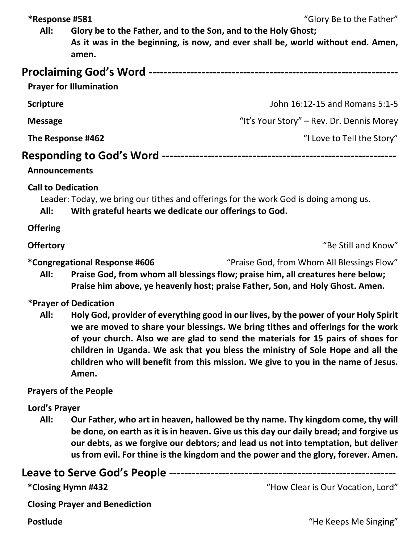**\*Response #581** "Glory Be to the Father"

**All: Glory be to the Father, and to the Son, and to the Holy Ghost; As it was in the beginning, is now, and ever shall be, world without end. Amen, amen.**

| <b>Proclaiming God's Word --</b><br><b>Prayer for Illumination</b> |                                           |
|--------------------------------------------------------------------|-------------------------------------------|
| <b>Scripture</b>                                                   | John 16:12-15 and Romans 5:1-5            |
| <b>Message</b>                                                     | "It's Your Story" – Rev. Dr. Dennis Morey |
| The Response #462                                                  | "I Love to Tell the Story"                |
| <b>Responding to God's Word --</b><br><b>Announcements</b>         |                                           |

**Call to Dedication**

Leader: Today, we bring our tithes and offerings for the work God is doing among us.

**All: With grateful hearts we dedicate our offerings to God.**

**Offering**

**Offertory "Be Still and Know"** 

**\*Congregational Response #606** "Praise God, from Whom All Blessings Flow"

**All: Praise God, from whom all blessings flow; praise him, all creatures here below; Praise him above, ye heavenly host; praise Father, Son, and Holy Ghost. Amen.**

#### **\*Prayer of Dedication**

**All: Holy God, provider of everything good in our lives, by the power of your Holy Spirit we are moved to share your blessings. We bring tithes and offerings for the work of your church. Also we are glad to send the materials for 15 pairs of shoes for children in Uganda. We ask that you bless the ministry of Sole Hope and all the children who will benefit from this mission. We give to you in the name of Jesus. Amen.**

### **Prayers of the People**

### **Lord's Prayer**

**All: Our Father, who art in heaven, hallowed be thy name. Thy kingdom come, thy will be done, on earth as it is in heaven. Give us this day our daily bread; and forgive us our debts, as we forgive our debtors; and lead us not into temptation, but deliver us from evil. For thine is the kingdom and the power and the glory, forever. Amen.**

### **Leave to Serve God's People ------------------------------------------------------------**

**\*Closing Hymn #432** "How Clear is Our Vocation, Lord"

**Closing Prayer and Benediction**

**Postlude** The Keeps Me Singing"